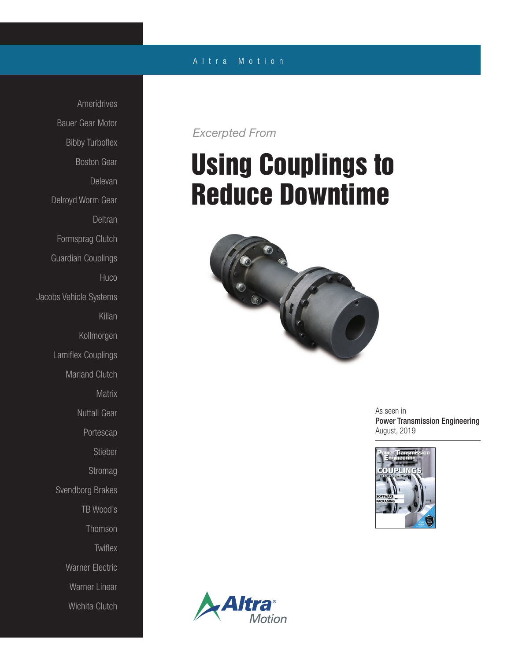### Ameridrives Bauer Gear Motor Bibby Turboflex Boston Gear Delevan Delroyd Worm Gear **Deltran** Formsprag Clutch Guardian Couplings Huco Jacobs Vehicle Systems Kilian Kollmorgen Lamiflex Couplings Marland Clutch **Matrix** Nuttall Gear Portescap Stieber Stromag Svendborg Brakes TB Wood's Thomson **Twiflex** Warner Electric Warner Linear Wichita Clutch

### A l t r a M o t i o n

*Excerpted From*

# Using Couplings to Reduce Downtime



As seen in Power Transmission Engineering August, 2019



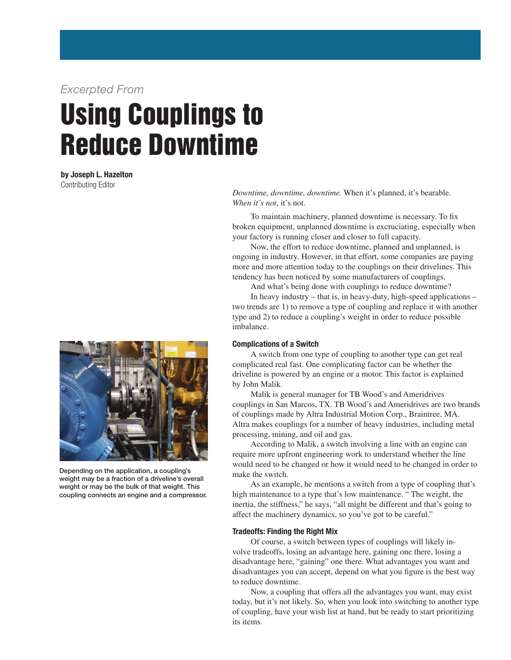*Excerpted From*

## Using Couplings to Reduce Downtime

by Joseph L. Hazelton Contributing Editor



Depending on the application, a coupling's weight may be a fraction of a driveline's overall weight or may be the bulk of that weight. This coupling connects an engine and a compressor.

*Downtime, downtime, downtime.* When it's planned, it's bearable. *When it's not*, it's not.

 To maintain machinery, planned downtime is necessary. To fix broken equipment, unplanned downtime is excruciating, especially when your factory is running closer and closer to full capacity.

 Now, the effort to reduce downtime, planned and unplanned, is ongoing in industry. However, in that effort, some companies are paying more and more attention today to the couplings on their drivelines. This tendency has been noticed by some manufacturers of couplings.

And what's being done with couplings to reduce downtime?

 In heavy industry – that is, in heavy-duty, high-speed applications – two trends are 1) to remove a type of coupling and replace it with another type and 2) to reduce a coupling's weight in order to reduce possible imbalance.

#### Complications of a Switch

 A switch from one type of coupling to another type can get real complicated real fast. One complicating factor can be whether the driveline is powered by an engine or a motor. This factor is explained by John Malik.

 Malik is general manager for TB Wood's and Ameridrives couplings in San Marcos, TX. TB Wood's and Ameridrives are two brands of couplings made by Altra Industrial Motion Corp., Braintree, MA. Altra makes couplings for a number of heavy industries, including metal processing, mining, and oil and gas.

 According to Malik, a switch involving a line with an engine can require more upfront engineering work to understand whether the line would need to be changed or how it would need to be changed in order to make the switch.

 As an example, he mentions a switch from a type of coupling that's high maintenance to a type that's low maintenance. " The weight, the inertia, the stiffness," he says, "all might be different and that's going to affect the machinery dynamics, so you've got to be careful."

#### Tradeoffs: Finding the Right Mix

 Of course, a switch between types of couplings will likely involve tradeoffs, losing an advantage here, gaining one there, losing a disadvantage here, "gaining" one there. What advantages you want and disadvantages you can accept, depend on what you figure is the best way to reduce downtime.

 Now, a coupling that offers all the advantages you want, may exist today, but it's not likely. So, when you look into switching to another type of coupling, have your wish list at hand, but be ready to start prioritizing its items.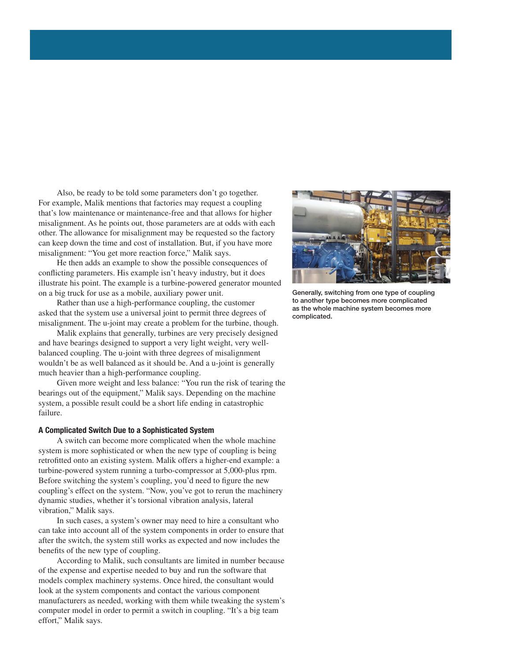Also, be ready to be told some parameters don't go together. For example, Malik mentions that factories may request a coupling that's low maintenance or maintenance-free and that allows for higher misalignment. As he points out, those parameters are at odds with each other. The allowance for misalignment may be requested so the factory can keep down the time and cost of installation. But, if you have more misalignment: "You get more reaction force," Malik says.

 He then adds an example to show the possible consequences of conflicting parameters. His example isn't heavy industry, but it does illustrate his point. The example is a turbine-powered generator mounted on a big truck for use as a mobile, auxiliary power unit.

 Rather than use a high-performance coupling, the customer asked that the system use a universal joint to permit three degrees of misalignment. The u-joint may create a problem for the turbine, though.

 Malik explains that generally, turbines are very precisely designed and have bearings designed to support a very light weight, very wellbalanced coupling. The u-joint with three degrees of misalignment wouldn't be as well balanced as it should be. And a u-joint is generally much heavier than a high-performance coupling.

 Given more weight and less balance: "You run the risk of tearing the bearings out of the equipment," Malik says. Depending on the machine system, a possible result could be a short life ending in catastrophic failure.

#### A Complicated Switch Due to a Sophisticated System

 A switch can become more complicated when the whole machine system is more sophisticated or when the new type of coupling is being retrofitted onto an existing system. Malik offers a higher-end example: a turbine-powered system running a turbo-compressor at 5,000-plus rpm. Before switching the system's coupling, you'd need to figure the new coupling's effect on the system. "Now, you've got to rerun the machinery dynamic studies, whether it's torsional vibration analysis, lateral vibration," Malik says.

 In such cases, a system's owner may need to hire a consultant who can take into account all of the system components in order to ensure that after the switch, the system still works as expected and now includes the benefits of the new type of coupling.

 According to Malik, such consultants are limited in number because of the expense and expertise needed to buy and run the software that models complex machinery systems. Once hired, the consultant would look at the system components and contact the various component manufacturers as needed, working with them while tweaking the system's computer model in order to permit a switch in coupling. "It's a big team effort," Malik says.



Generally, switching from one type of coupling to another type becomes more complicated as the whole machine system becomes more complicated.